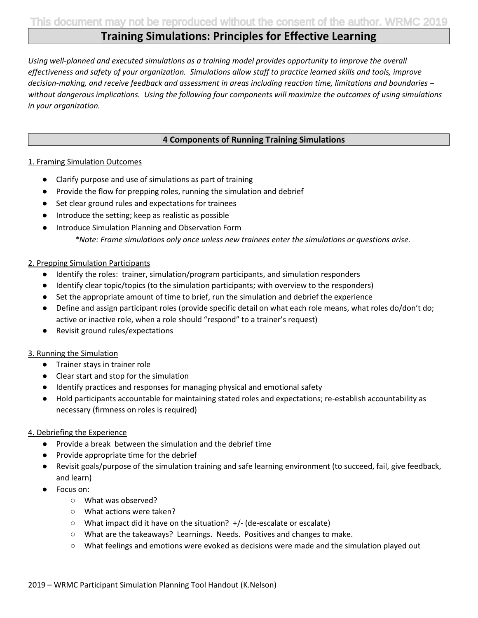# **Training Simulations: Principles for Effective Learning**

*Using well-planned and executed simulations as a training model provides opportunity to improve the overall effectiveness and safety of your organization. Simulations allow staff to practice learned skills and tools, improve decision-making, and receive feedback and assessment in areas including reaction time, limitations and boundaries – without dangerous implications. Using the following four components will maximize the outcomes of using simulations in your organization.*

#### **4 Components of Running Training Simulations**

#### 1. Framing Simulation Outcomes

- Clarify purpose and use of simulations as part of training
- Provide the flow for prepping roles, running the simulation and debrief
- Set clear ground rules and expectations for trainees
- Introduce the setting; keep as realistic as possible
- Introduce Simulation Planning and Observation Form *\*Note: Frame simulations only once unless new trainees enter the simulations or questions arise.*

#### 2. Prepping Simulation Participants

- Identify the roles: trainer, simulation/program participants, and simulation responders
- Identify clear topic/topics (to the simulation participants; with overview to the responders)
- Set the appropriate amount of time to brief, run the simulation and debrief the experience
- Define and assign participant roles (provide specific detail on what each role means, what roles do/don't do; active or inactive role, when a role should "respond" to a trainer's request)
- Revisit ground rules/expectations

#### 3. Running the Simulation

- Trainer stays in trainer role
- Clear start and stop for the simulation
- Identify practices and responses for managing physical and emotional safety
- Hold participants accountable for maintaining stated roles and expectations; re-establish accountability as necessary (firmness on roles is required)

#### 4. Debriefing the Experience

- Provide a break between the simulation and the debrief time
- Provide appropriate time for the debrief
- Revisit goals/purpose of the simulation training and safe learning environment (to succeed, fail, give feedback, and learn)
- Focus on:
	- What was observed?
	- What actions were taken?
	- What impact did it have on the situation? +/- (de-escalate or escalate)
	- What are the takeaways? Learnings. Needs. Positives and changes to make.
	- What feelings and emotions were evoked as decisions were made and the simulation played out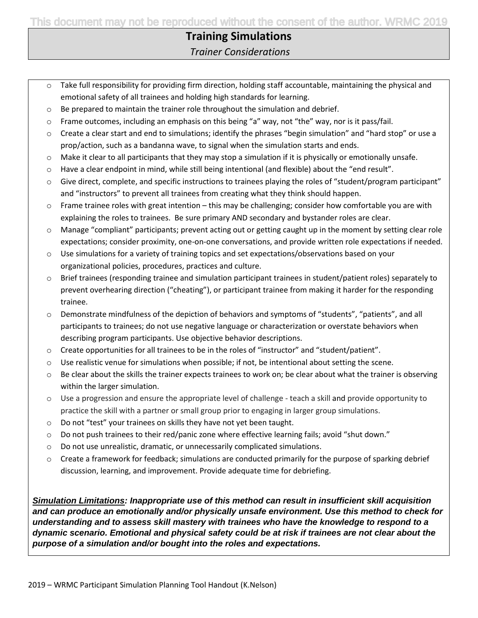# **Training Simulations**

*Trainer Considerations*

- $\circ$  Take full responsibility for providing firm direction, holding staff accountable, maintaining the physical and emotional safety of all trainees and holding high standards for learning.
- $\circ$  Be prepared to maintain the trainer role throughout the simulation and debrief.
- $\circ$  Frame outcomes, including an emphasis on this being "a" way, not "the" way, nor is it pass/fail.
- $\circ$  Create a clear start and end to simulations; identify the phrases "begin simulation" and "hard stop" or use a prop/action, such as a bandanna wave, to signal when the simulation starts and ends.
- $\circ$  Make it clear to all participants that they may stop a simulation if it is physically or emotionally unsafe.
- $\circ$  Have a clear endpoint in mind, while still being intentional (and flexible) about the "end result".
- $\circ$  Give direct, complete, and specific instructions to trainees playing the roles of "student/program participant" and "instructors" to prevent all trainees from creating what they think should happen.
- $\circ$  Frame trainee roles with great intention this may be challenging; consider how comfortable you are with explaining the roles to trainees. Be sure primary AND secondary and bystander roles are clear.
- o Manage "compliant" participants; prevent acting out or getting caught up in the moment by setting clear role expectations; consider proximity, one-on-one conversations, and provide written role expectations if needed.
- o Use simulations for a variety of training topics and set expectations/observations based on your organizational policies, procedures, practices and culture.
- o Brief trainees (responding trainee and simulation participant trainees in student/patient roles) separately to prevent overhearing direction ("cheating"), or participant trainee from making it harder for the responding trainee.
- o Demonstrate mindfulness of the depiction of behaviors and symptoms of "students", "patients", and all participants to trainees; do not use negative language or characterization or overstate behaviors when describing program participants. Use objective behavior descriptions.
- o Create opportunities for all trainees to be in the roles of "instructor" and "student/patient".
- $\circ$  Use realistic venue for simulations when possible; if not, be intentional about setting the scene.
- $\circ$  Be clear about the skills the trainer expects trainees to work on; be clear about what the trainer is observing within the larger simulation.
- o Use a progression and ensure the appropriate level of challenge teach a skill and provide opportunity to practice the skill with a partner or small group prior to engaging in larger group simulations.
- o Do not "test" your trainees on skills they have not yet been taught.
- $\circ$  Do not push trainees to their red/panic zone where effective learning fails; avoid "shut down."
- o Do not use unrealistic, dramatic, or unnecessarily complicated simulations.
- o Create a framework for feedback; simulations are conducted primarily for the purpose of sparking debrief discussion, learning, and improvement. Provide adequate time for debriefing.

*Simulation Limitations: Inappropriate use of this method can result in insufficient skill acquisition and can produce an emotionally and/or physically unsafe environment. Use this method to check for understanding and to assess skill mastery with trainees who have the knowledge to respond to a dynamic scenario. Emotional and physical safety could be at risk if trainees are not clear about the purpose of a simulation and/or bought into the roles and expectations.*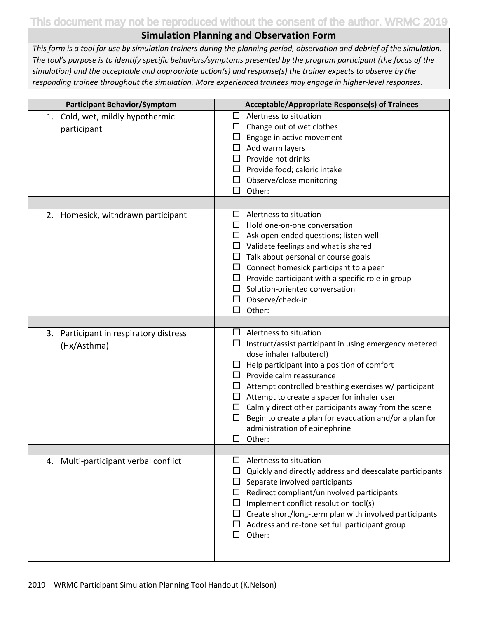This document may not be reproduced without the consent of the author. WRMC 2019

## **Simulation Planning and Observation Form**

*This form is a tool for use by simulation trainers during the planning period, observation and debrief of the simulation. The tool's purpose is to identify specific behaviors/symptoms presented by the program participant (the focus of the simulation) and the acceptable and appropriate action(s) and response(s) the trainer expects to observe by the responding trainee throughout the simulation. More experienced trainees may engage in higher-level responses.*

| <b>Participant Behavior/Symptom</b>                   | Acceptable/Appropriate Response(s) of Trainees                                                                                                                                                                                                                                                                                                                                                                                                                                                                               |
|-------------------------------------------------------|------------------------------------------------------------------------------------------------------------------------------------------------------------------------------------------------------------------------------------------------------------------------------------------------------------------------------------------------------------------------------------------------------------------------------------------------------------------------------------------------------------------------------|
| 1. Cold, wet, mildly hypothermic<br>participant       | Alertness to situation<br>⊔<br>$\Box$ Change out of wet clothes<br>$\Box$ Engage in active movement<br>Add warm layers<br>Provide hot drinks<br>$\Box$ Provide food; caloric intake<br>$\Box$ Observe/close monitoring<br>Other:<br>П                                                                                                                                                                                                                                                                                        |
|                                                       |                                                                                                                                                                                                                                                                                                                                                                                                                                                                                                                              |
| 2. Homesick, withdrawn participant                    | Alertness to situation<br>$\Box$<br>Hold one-on-one conversation<br>$\Box$<br>$\Box$ Ask open-ended questions; listen well<br>$\Box$ Validate feelings and what is shared<br>Talk about personal or course goals<br>$\Box$ Connect homesick participant to a peer<br>$\Box$ Provide participant with a specific role in group<br>Solution-oriented conversation<br>$\Box$ Observe/check-in<br>□<br>Other:                                                                                                                    |
|                                                       |                                                                                                                                                                                                                                                                                                                                                                                                                                                                                                                              |
| 3. Participant in respiratory distress<br>(Hx/Asthma) | $\Box$ Alertness to situation<br>$\Box$ Instruct/assist participant in using emergency metered<br>dose inhaler (albuterol)<br>Help participant into a position of comfort<br>$\Box$<br>$\Box$ Provide calm reassurance<br>$\Box$ Attempt controlled breathing exercises w/ participant<br>Attempt to create a spacer for inhaler user<br>Calmly direct other participants away from the scene<br>$\Box$<br>Begin to create a plan for evacuation and/or a plan for<br>□<br>administration of epinephrine<br>Other:<br>$\Box$ |
| 4. Multi-participant verbal conflict                  | Alertness to situation<br>□                                                                                                                                                                                                                                                                                                                                                                                                                                                                                                  |
|                                                       | Quickly and directly address and deescalate participants<br>ப<br>Separate involved participants<br>$\Box$<br>Redirect compliant/uninvolved participants<br>$\Box$<br>Implement conflict resolution tool(s)<br>$\Box$<br>Create short/long-term plan with involved participants<br>$\Box$<br>Address and re-tone set full participant group<br>⊔<br>Other:<br>$\Box$                                                                                                                                                          |